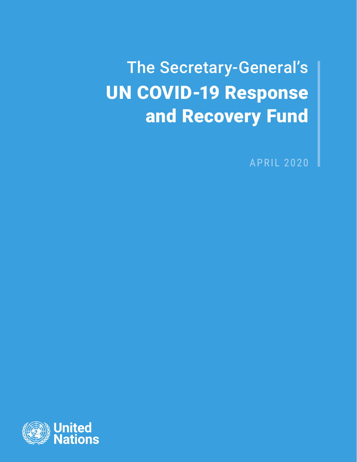The Secretary-General's UN COVID-19 Response and Recovery Fund

APRIL 2020

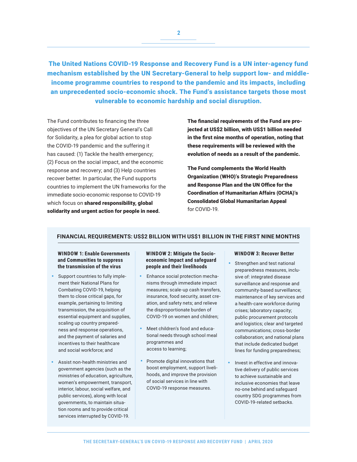The United Nations COVID-19 Response and Recovery Fund is a UN inter-agency fund mechanism established by the UN Secretary-General to help support low- and middleincome programme countries to respond to the pandemic and its impacts, including an unprecedented socio-economic shock. The Fund's assistance targets those most vulnerable to economic hardship and social disruption.

The Fund contributes to financing the three objectives of the UN Secretary General's Call for Solidarity, a plea for global action to stop the COVID-19 pandemic and the suffering it has caused: (1) Tackle the health emergency; (2) Focus on the social impact, and the economic response and recovery; and (3) Help countries recover better. In particular, the Fund supports countries to implement the UN frameworks for the immediate socio-economic response to COVID-19 which focus on shared responsibility, global solidarity and urgent action for people in need**.**

The financial requirements of the Fund are projected at US\$2 billion, with US\$1 billion needed in the first nine months of operation, noting that these requirements will be reviewed with the evolution of needs as a result of the pandemic.

The Fund complements the World Health Organization (WHO)'s Strategic Preparedness and Response Plan and the UN Office for the Coordination of Humanitarian Affairs (OCHA)'s Consolidated Global Humanitarian Appeal for COVID-19.

# **FINANCIAL REQUIREMENTS: US\$2 BILLION WITH US\$1 BILLION IN THE FIRST NINE MONTHS**

## **WINDOW 1: Enable Governments and Communities to suppress the transmission of the virus**

- Support countries to fully implement their National Plans for Combating COVID-19, helping them to close critical gaps, for example, pertaining to limiting transmission, the acquisition of essential equipment and supplies, scaling up country preparedness and response operations, and the payment of salaries and incentives to their healthcare and social workforce; and
- Assist non-health ministries and government agencies (such as the ministries of education, agriculture, women's empowerment, transport, interior, labour, social welfare, and public services), along with local governments, to maintain situation rooms and to provide critical services interrupted by COVID-19.

## **WINDOW 2: Mitigate the Socioeconomic Impact and safeguard people and their livelihoods**

- Enhance social protection mechanisms through immediate impact measures; scale-up cash transfers, insurance, food security, asset creation, and safety nets; and relieve the disproportionate burden of COVID-19 on women and children;
- Meet children's food and educational needs through school meal programmes and access to learning;
- Promote digital innovations that boost employment, support livelihoods, and improve the provision of social services in line with COVID-19 response measures.

#### **WINDOW 3: Recover Better**

- Strengthen and test national preparedness measures, inclusive of: integrated disease surveillance and response and community-based surveillance; maintenance of key services and a health-care workforce during crises; laboratory capacity; public procurement protocols and logistics; clear and targeted communications; cross-border collaboration; and national plans that include dedicated budget lines for funding preparedness;
- Invest in effective and innovative delivery of public services to achieve sustainable and inclusive economies that leave no-one behind and safeguard country SDG programmes from COVID-19-related setbacks.

**2**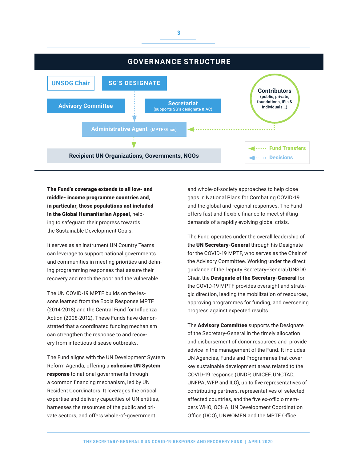

The Fund's coverage extends to all low- and middle- income programme countries and, in particular, those populations not included in the Global Humanitarian Appeal, helping to safeguard their progress towards the Sustainable Development Goals.

It serves as an instrument UN Country Teams can leverage to support national governments and communities in meeting priorities and defining programming responses that assure their recovery and reach the poor and the vulnerable.

The UN COVID-19 MPTF builds on the lessons learned from the Ebola Response MPTF (2014-2018) and the Central Fund for Influenza Action (2008-2012). These Funds have demonstrated that a coordinated funding mechanism can strengthen the response to and recovery from infectious disease outbreaks.

The Fund aligns with the UN Development System Reform Agenda, offering a cohesive UN System response to national governments through a common financing mechanism, led by UN Resident Coordinators. It leverages the critical expertise and delivery capacities of UN entities, harnesses the resources of the public and private sectors, and offers whole-of-government

and whole-of-society approaches to help close gaps in National Plans for Combating COVID-19 and the global and regional responses. The Fund offers fast and flexible finance to meet shifting demands of a rapidly evolving global crisis.

The Fund operates under the overall leadership of the UN Secretary-General through his Designate for the COVID-19 MPTF, who serves as the Chair of the Advisory Committee. Working under the direct guidance of the Deputy Secretary-General/UNSDG Chair, the Designate of the Secretary-General for the COVID-19 MPTF provides oversight and strategic direction, leading the mobilization of resources, approving programmes for funding, and overseeing progress against expected results.

The **Advisory Committee** supports the Designate of the Secretary-General in the timely allocation and disbursement of donor resources and provide advice in the management of the Fund. It includes UN Agencies, Funds and Programmes that cover key sustainable development areas related to the COVID-19 response (UNDP, UNICEF, UNCTAD, UNFPA, WFP and ILO), up to five representatives of contributing partners, representatives of selected affected countries, and the five ex-officio members WHO, OCHA, UN Development Coordination Office (DCO), UNWOMEN and the MPTF Office.